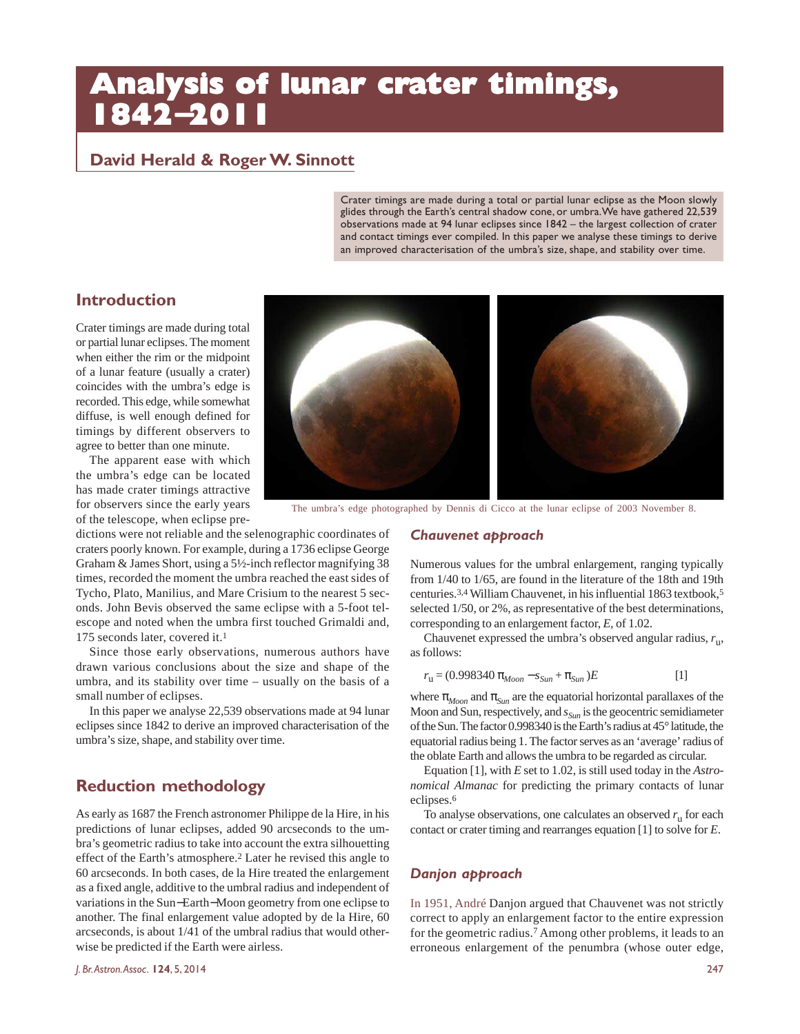# **Analysis of lunar crater timings, 1842**−**2011**

# **David Herald & Roger W. Sinnott**

Crater timings are made during a total or partial lunar eclipse as the Moon slowly glides through the Earth's central shadow cone, or umbra. We have gathered 22,539 observations made at 94 lunar eclipses since 1842 – the largest collection of crater and contact timings ever compiled. In this paper we analyse these timings to derive an improved characterisation of the umbra's size, shape, and stability over time.

# **Introduction**

Crater timings are made during total or partial lunar eclipses. The moment when either the rim or the midpoint of a lunar feature (usually a crater) coincides with the umbra's edge is recorded. This edge, while somewhat diffuse, is well enough defined for timings by different observers to agree to better than one minute.

The apparent ease with which the umbra's edge can be located has made crater timings attractive for observers since the early years of the telescope, when eclipse pre-



The umbra's edge photographed by Dennis di Cicco at the lunar eclipse of 2003 November 8.

dictions were not reliable and the selenographic coordinates of craters poorly known. For example, during a 1736 eclipse George Graham & James Short, using a 5½-inch reflector magnifying 38 times, recorded the moment the umbra reached the east sides of Tycho, Plato, Manilius, and Mare Crisium to the nearest 5 seconds. John Bevis observed the same eclipse with a 5-foot telescope and noted when the umbra first touched Grimaldi and,

175 seconds later, covered it.<sup>1</sup> Since those early observations, numerous authors have drawn various conclusions about the size and shape of the umbra, and its stability over time – usually on the basis of a small number of eclipses.

In this paper we analyse 22,539 observations made at 94 lunar eclipses since 1842 to derive an improved characterisation of the umbra's size, shape, and stability over time.

# **Reduction methodology**

As early as 1687 the French astronomer Philippe de la Hire, in his predictions of lunar eclipses, added 90 arcseconds to the umbra's geometric radius to take into account the extra silhouetting effect of the Earth's atmosphere.<sup>2</sup> Later he revised this angle to 60 arcseconds. In both cases, de la Hire treated the enlargement as a fixed angle, additive to the umbral radius and independent of variations in the Sun−Earth−Moon geometry from one eclipse to another. The final enlargement value adopted by de la Hire, 60 arcseconds, is about 1/41 of the umbral radius that would otherwise be predicted if the Earth were airless.

## *Chauvenet approach*

Numerous values for the umbral enlargement, ranging typically from 1/40 to 1/65, are found in the literature of the 18th and 19th centuries.3,4 William Chauvenet, in his influential 1863 textbook,5 selected 1/50, or 2%, as representative of the best determinations, corresponding to an enlargement factor, *E,* of 1.02.

Chauvenet expressed the umbra's observed angular radius, *r*<sup>u</sup> , as follows:

$$
r_{\rm u} = (0.998340 \pi_{Moon} - s_{Sun} + \pi_{Sun})E
$$
 [1]

where  $\pi_{Moon}$  and  $\pi_{Sun}$  are the equatorial horizontal parallaxes of the Moon and Sun, respectively, and *sSun* is the geocentric semidiameter of the Sun. The factor 0.998340 is the Earth's radius at 45° latitude, the equatorial radius being 1. The factor serves as an 'average' radius of the oblate Earth and allows the umbra to be regarded as circular.

Equation [1], with *E* set to 1.02, is still used today in the *Astronomical Almanac* for predicting the primary contacts of lunar eclipses.<sup>6</sup>

To analyse observations, one calculates an observed *r*<sup>u</sup> for each contact or crater timing and rearranges equation [1] to solve for *E*.

#### *Danjon approach*

In 1951, André Danjon argued that Chauvenet was not strictly correct to apply an enlargement factor to the entire expression for the geometric radius.7 Among other problems, it leads to an erroneous enlargement of the penumbra (whose outer edge,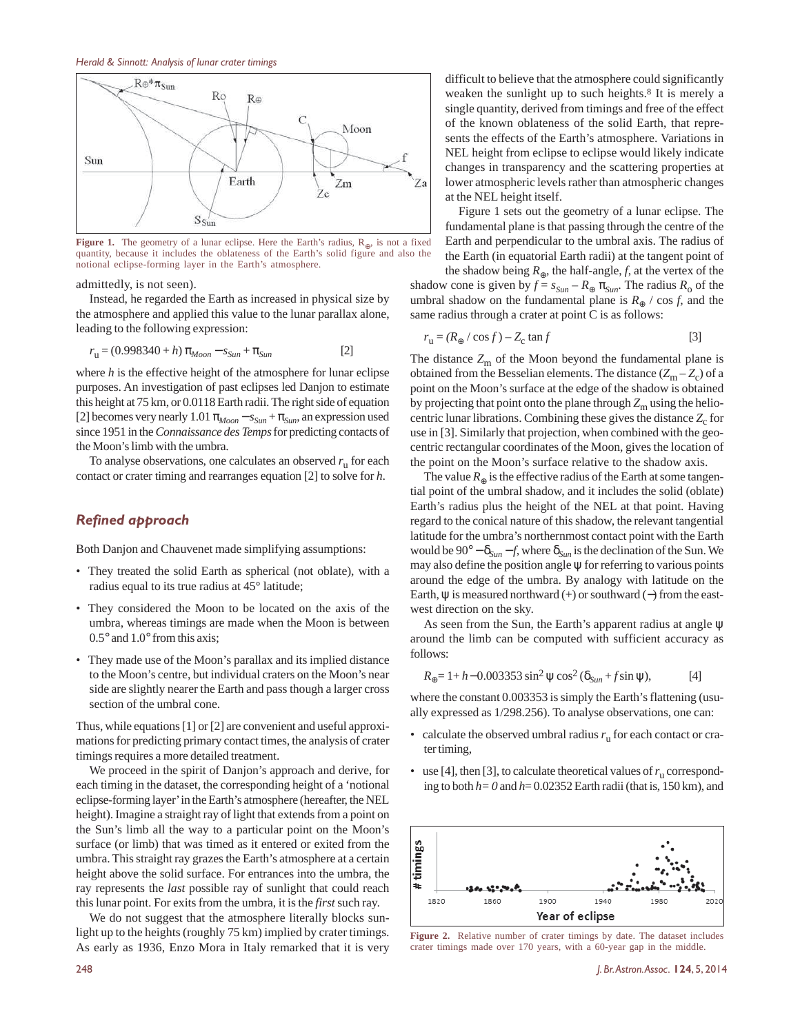#### *Herald & Sinnott: Analysis of lunar crater timings*



**Figure 1.** The geometry of a lunar eclipse. Here the Earth's radius, R<sub>⊕</sub>, is not a fixed quantity, because it includes the oblateness of the Earth's solid figure and also the notional eclipse-forming layer in the Earth's atmosphere.

admittedly, is not seen).

Instead, he regarded the Earth as increased in physical size by the atmosphere and applied this value to the lunar parallax alone, leading to the following expression:

$$
r_{\rm u} = (0.998340 + h) \pi_{Moon} - s_{Sun} + \pi_{Sun}
$$
 [2]

where *h* is the effective height of the atmosphere for lunar eclipse purposes. An investigation of past eclipses led Danjon to estimate this height at 75 km, or 0.0118 Earth radii. The right side of equation [2] becomes very nearly  $1.01 \pi_{Moon} - s_{Sun} + \pi_{Sun}$ , an expression used since 1951 in the *Connaissance des Temps* for predicting contacts of the Moon's limb with the umbra.

To analyse observations, one calculates an observed *r*<sup>u</sup> for each contact or crater timing and rearranges equation [2] to solve for *h*.

#### *Refined approach*

Both Danjon and Chauvenet made simplifying assumptions:

- *•* They treated the solid Earth as spherical (not oblate), with a radius equal to its true radius at 45° latitude;
- *•* They considered the Moon to be located on the axis of the umbra, whereas timings are made when the Moon is between 0.5° and 1.0° from this axis;
- *•* They made use of the Moon's parallax and its implied distance to the Moon's centre, but individual craters on the Moon's near side are slightly nearer the Earth and pass though a larger cross section of the umbral cone.

Thus, while equations [1] or [2] are convenient and useful approximations for predicting primary contact times, the analysis of crater timings requires a more detailed treatment.

We proceed in the spirit of Danjon's approach and derive, for each timing in the dataset, the corresponding height of a 'notional eclipse-forming layer' in the Earth's atmosphere (hereafter, the NEL height). Imagine a straight ray of light that extends from a point on the Sun's limb all the way to a particular point on the Moon's surface (or limb) that was timed as it entered or exited from the umbra. This straight ray grazes the Earth's atmosphere at a certain height above the solid surface. For entrances into the umbra, the ray represents the *last* possible ray of sunlight that could reach this lunar point. For exits from the umbra, it is the *first* such ray.

We do not suggest that the atmosphere literally blocks sunlight up to the heights (roughly 75 km) implied by crater timings. As early as 1936, Enzo Mora in Italy remarked that it is very

difficult to believe that the atmosphere could significantly weaken the sunlight up to such heights.<sup>8</sup> It is merely a single quantity, derived from timings and free of the effect of the known oblateness of the solid Earth, that represents the effects of the Earth's atmosphere. Variations in NEL height from eclipse to eclipse would likely indicate changes in transparency and the scattering properties at lower atmospheric levels rather than atmospheric changes at the NEL height itself.

Figure 1 sets out the geometry of a lunar eclipse. The fundamental plane is that passing through the centre of the Earth and perpendicular to the umbral axis. The radius of the Earth (in equatorial Earth radii) at the tangent point of

the shadow being  $R_{\oplus}$ , the half-angle, *f*, at the vertex of the shadow cone is given by  $f = s_{Sun} - R_{\oplus} \pi_{Sun}$ . The radius  $R_0$  of the umbral shadow on the fundamental plane is  $R_{\oplus}$  / cos *f*, and the same radius through a crater at point C is as follows:

$$
r_{\rm u} = (R_{\oplus} / \cos f) - Z_{\rm c} \tan f \tag{3}
$$

The distance  $Z_{\text{m}}$  of the Moon beyond the fundamental plane is obtained from the Besselian elements. The distance  $(Z_m - Z_c)$  of a point on the Moon's surface at the edge of the shadow is obtained by projecting that point onto the plane through  $Z<sub>m</sub>$  using the heliocentric lunar librations. Combining these gives the distance  $Z_c$  for use in [3]. Similarly that projection, when combined with the geocentric rectangular coordinates of the Moon, gives the location of the point on the Moon's surface relative to the shadow axis.

The value  $R_{\oplus}$  is the effective radius of the Earth at some tangential point of the umbral shadow, and it includes the solid (oblate) Earth's radius plus the height of the NEL at that point. Having regard to the conical nature of this shadow, the relevant tangential latitude for the umbra's northernmost contact point with the Earth would be  $90^{\circ} - \delta_{Sun} - f$ , where  $\delta_{Sun}$  is the declination of the Sun. We may also define the position angle  $\psi$  for referring to various points around the edge of the umbra. By analogy with latitude on the Earth,  $\psi$  is measured northward (+) or southward (-) from the eastwest direction on the sky.

As seen from the Sun, the Earth's apparent radius at angle ψ around the limb can be computed with sufficient accuracy as follows:

$$
R_{\oplus} = 1 + h - 0.003353 \sin^2 \psi \cos^2 (\delta_{Sun} + f \sin \psi),
$$
 [4]

where the constant 0.003353 is simply the Earth's flattening (usually expressed as 1/298.256). To analyse observations, one can:

- *•* calculate the observed umbral radius *r*<sup>u</sup> for each contact or crater timing,
- use [4], then [3], to calculate theoretical values of  $r_u$  corresponding to both *h= 0* and *h*= 0.02352 Earth radii (that is, 150 km), and



**Figure 2.** Relative number of crater timings by date. The dataset includes crater timings made over 170 years, with a 60-year gap in the middle.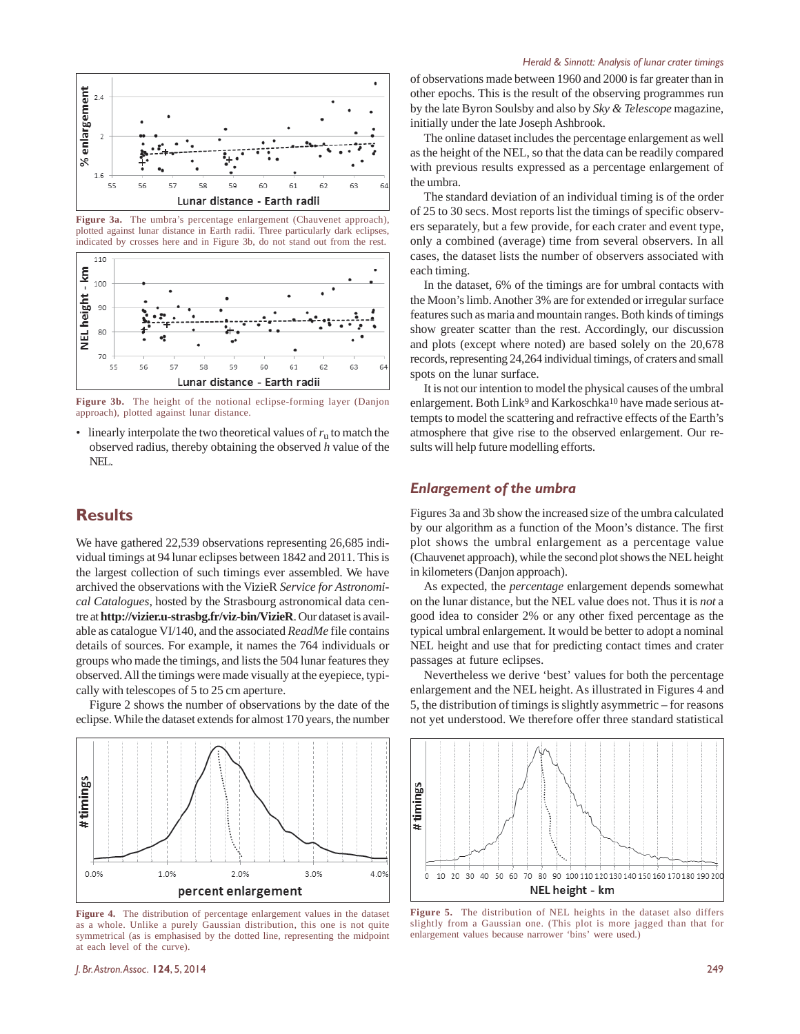

**Figure 3a.** The umbra's percentage enlargement (Chauvenet approach), plotted against lunar distance in Earth radii. Three particularly dark eclipses, indicated by crosses here and in Figure 3b, do not stand out from the rest.



**Figure 3b.** The height of the notional eclipse-forming layer (Danjon approach), plotted against lunar distance.

• linearly interpolate the two theoretical values of  $r_u$  to match the observed radius, thereby obtaining the observed *h* value of the NEL.

## **Results**

We have gathered 22,539 observations representing 26,685 individual timings at 94 lunar eclipses between 1842 and 2011. This is the largest collection of such timings ever assembled. We have archived the observations with the VizieR *Service for Astronomical Catalogues*, hosted by the Strasbourg astronomical data centre at **http://vizier.u-strasbg.fr/viz-bin/VizieR**. Our dataset is available as catalogue VI/140, and the associated *ReadMe* file contains details of sources. For example, it names the 764 individuals or groups who made the timings, and lists the 504 lunar features they observed. All the timings were made visually at the eyepiece, typically with telescopes of 5 to 25 cm aperture.

Figure 2 shows the number of observations by the date of the eclipse. While the dataset extends for almost 170 years, the number



**Figure 4.** The distribution of percentage enlargement values in the dataset as a whole. Unlike a purely Gaussian distribution, this one is not quite symmetrical (as is emphasised by the dotted line, representing the midpoint at each level of the curve).

#### *Herald & Sinnott: Analysis of lunar crater timings*

of observations made between 1960 and 2000 is far greater than in other epochs. This is the result of the observing programmes run by the late Byron Soulsby and also by *Sky & Telescope* magazine, initially under the late Joseph Ashbrook.

The online dataset includes the percentage enlargement as well as the height of the NEL, so that the data can be readily compared with previous results expressed as a percentage enlargement of the umbra.

The standard deviation of an individual timing is of the order of 25 to 30 secs. Most reports list the timings of specific observers separately, but a few provide, for each crater and event type, only a combined (average) time from several observers. In all cases, the dataset lists the number of observers associated with each timing.

In the dataset, 6% of the timings are for umbral contacts with the Moon's limb. Another 3% are for extended or irregular surface features such as maria and mountain ranges. Both kinds of timings show greater scatter than the rest. Accordingly, our discussion and plots (except where noted) are based solely on the 20,678 records, representing 24,264 individual timings, of craters and small spots on the lunar surface.

It is not our intention to model the physical causes of the umbral enlargement. Both Link<sup>9</sup> and Karkoschka<sup>10</sup> have made serious attempts to model the scattering and refractive effects of the Earth's atmosphere that give rise to the observed enlargement. Our results will help future modelling efforts.

#### *Enlargement of the umbra*

Figures 3a and 3b show the increased size of the umbra calculated by our algorithm as a function of the Moon's distance. The first plot shows the umbral enlargement as a percentage value (Chauvenet approach), while the second plot shows the NEL height in kilometers (Danjon approach).

As expected, the *percentage* enlargement depends somewhat on the lunar distance, but the NEL value does not. Thus it is *not* a good idea to consider 2% or any other fixed percentage as the typical umbral enlargement. It would be better to adopt a nominal NEL height and use that for predicting contact times and crater passages at future eclipses.

Nevertheless we derive 'best' values for both the percentage enlargement and the NEL height. As illustrated in Figures 4 and 5, the distribution of timings is slightly asymmetric – for reasons not yet understood. We therefore offer three standard statistical



**Figure 5.** The distribution of NEL heights in the dataset also differs slightly from a Gaussian one. (This plot is more jagged than that for enlargement values because narrower 'bins' were used.)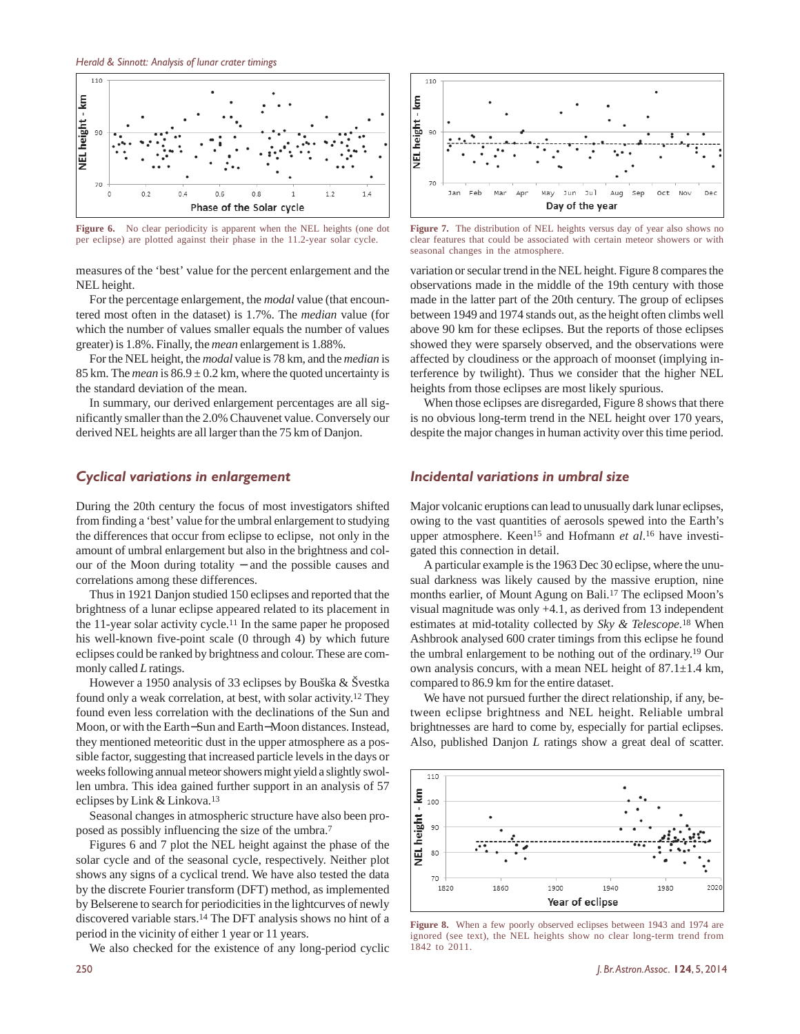

**Figure 6.** No clear periodicity is apparent when the NEL heights (one dot per eclipse) are plotted against their phase in the 11.2-year solar cycle.

measures of the 'best' value for the percent enlargement and the NEL height.

For the percentage enlargement, the *modal* value (that encountered most often in the dataset) is 1.7%. The *median* value (for which the number of values smaller equals the number of values greater) is 1.8%. Finally, the *mean* enlargement is 1.88%.

For the NEL height, the *modal* value is 78 km, and the *median* is 85 km. The *mean* is  $86.9 \pm 0.2$  km, where the quoted uncertainty is the standard deviation of the mean.

In summary, our derived enlargement percentages are all significantly smaller than the 2.0% Chauvenet value. Conversely our derived NEL heights are all larger than the 75 km of Danjon.

#### *Cyclical variations in enlargement*

During the 20th century the focus of most investigators shifted from finding a 'best' value for the umbral enlargement to studying the differences that occur from eclipse to eclipse, not only in the amount of umbral enlargement but also in the brightness and colour of the Moon during totality − and the possible causes and correlations among these differences.

Thus in 1921 Danjon studied 150 eclipses and reported that the brightness of a lunar eclipse appeared related to its placement in the 11-year solar activity cycle.11 In the same paper he proposed his well-known five-point scale (0 through 4) by which future eclipses could be ranked by brightness and colour. These are commonly called *L* ratings.

However a 1950 analysis of 33 eclipses by Bouška & Švestka found only a weak correlation, at best, with solar activity.12 They found even less correlation with the declinations of the Sun and Moon, or with the Earth−Sun and Earth−Moon distances. Instead, they mentioned meteoritic dust in the upper atmosphere as a possible factor, suggesting that increased particle levels in the days or weeks following annual meteor showers might yield a slightly swollen umbra. This idea gained further support in an analysis of 57 eclipses by Link & Linkova.<sup>13</sup>

Seasonal changes in atmospheric structure have also been proposed as possibly influencing the size of the umbra. 7

Figures 6 and 7 plot the NEL height against the phase of the solar cycle and of the seasonal cycle, respectively. Neither plot shows any signs of a cyclical trend. We have also tested the data by the discrete Fourier transform (DFT) method, as implemented by Belserene to search for periodicities in the lightcurves of newly discovered variable stars.14 The DFT analysis shows no hint of a period in the vicinity of either 1 year or 11 years.

We also checked for the existence of any long-period cyclic



**Figure 7.** The distribution of NEL heights versus day of year also shows no clear features that could be associated with certain meteor showers or with seasonal changes in the atmosphere.

variation or secular trend in the NEL height. Figure 8 compares the observations made in the middle of the 19th century with those made in the latter part of the 20th century. The group of eclipses between 1949 and 1974 stands out, as the height often climbs well above 90 km for these eclipses. But the reports of those eclipses showed they were sparsely observed, and the observations were affected by cloudiness or the approach of moonset (implying interference by twilight). Thus we consider that the higher NEL heights from those eclipses are most likely spurious.

When those eclipses are disregarded, Figure 8 shows that there is no obvious long-term trend in the NEL height over 170 years, despite the major changes in human activity over this time period.

#### *Incidental variations in umbral size*

Major volcanic eruptions can lead to unusually dark lunar eclipses, owing to the vast quantities of aerosols spewed into the Earth's upper atmosphere. Keen<sup>15</sup> and Hofmann et al.<sup>16</sup> have investigated this connection in detail.

A particular example is the 1963 Dec 30 eclipse, where the unusual darkness was likely caused by the massive eruption, nine months earlier, of Mount Agung on Bali.17 The eclipsed Moon's visual magnitude was only +4.1, as derived from 13 independent estimates at mid-totality collected by *Sky & Telescope.*18 When Ashbrook analysed 600 crater timings from this eclipse he found the umbral enlargement to be nothing out of the ordinary.19 Our own analysis concurs, with a mean NEL height of 87.1±1.4 km, compared to 86.9 km for the entire dataset.

We have not pursued further the direct relationship, if any, between eclipse brightness and NEL height. Reliable umbral brightnesses are hard to come by, especially for partial eclipses. Also, published Danjon *L* ratings show a great deal of scatter.



**Figure 8.** When a few poorly observed eclipses between 1943 and 1974 are ignored (see text), the NEL heights show no clear long-term trend from 1842 to 2011.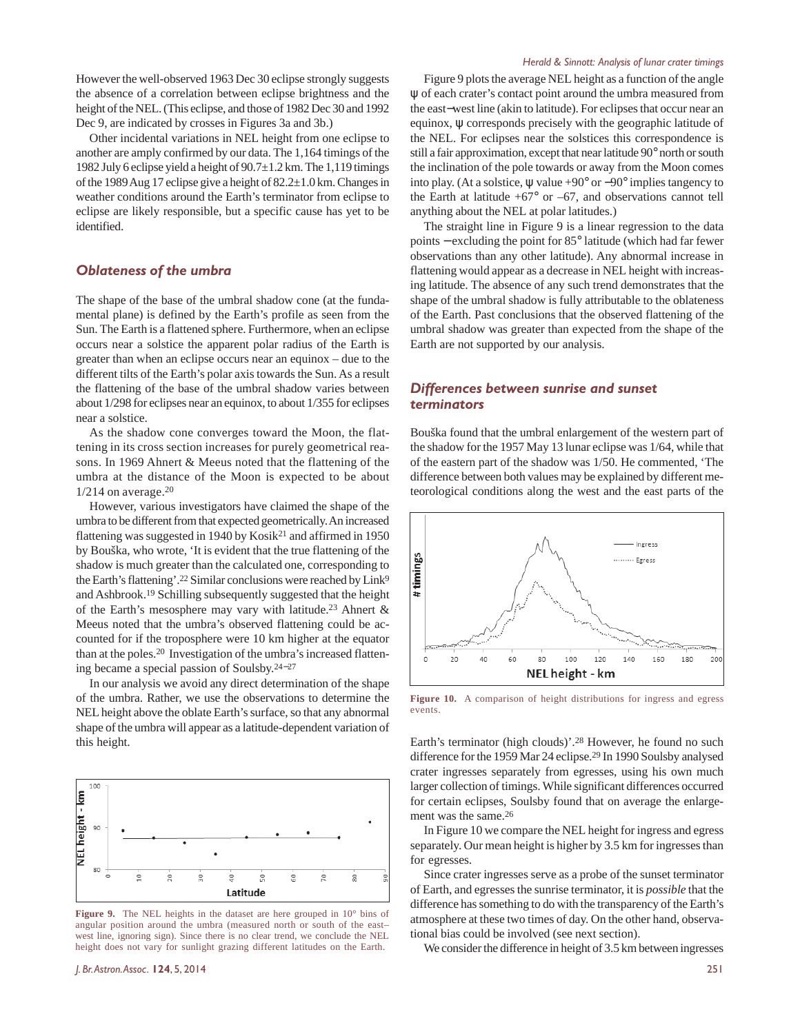However the well-observed 1963 Dec 30 eclipse strongly suggests the absence of a correlation between eclipse brightness and the height of the NEL. (This eclipse, and those of 1982 Dec 30 and 1992 Dec 9, are indicated by crosses in Figures 3a and 3b.)

Other incidental variations in NEL height from one eclipse to another are amply confirmed by our data. The 1,164 timings of the 1982 July 6 eclipse yield a height of 90.7±1.2 km. The 1,119 timings of the 1989 Aug 17 eclipse give a height of 82.2±1.0 km. Changes in weather conditions around the Earth's terminator from eclipse to eclipse are likely responsible, but a specific cause has yet to be identified.

### *Oblateness of the umbra*

The shape of the base of the umbral shadow cone (at the fundamental plane) is defined by the Earth's profile as seen from the Sun. The Earth is a flattened sphere. Furthermore, when an eclipse occurs near a solstice the apparent polar radius of the Earth is greater than when an eclipse occurs near an equinox – due to the different tilts of the Earth's polar axis towards the Sun. As a result the flattening of the base of the umbral shadow varies between about 1/298 for eclipses near an equinox, to about 1/355 for eclipses near a solstice.

As the shadow cone converges toward the Moon, the flattening in its cross section increases for purely geometrical reasons. In 1969 Ahnert & Meeus noted that the flattening of the umbra at the distance of the Moon is expected to be about  $1/214$  on average.<sup>20</sup>

However, various investigators have claimed the shape of the umbra to be different from that expected geometrically. An increased flattening was suggested in 1940 by Kosik21 and affirmed in 1950 by Bouška, who wrote, 'It is evident that the true flattening of the shadow is much greater than the calculated one, corresponding to the Earth's flattening'.<sup>22</sup> Similar conclusions were reached by Link<sup>9</sup> and Ashbrook.19 Schilling subsequently suggested that the height of the Earth's mesosphere may vary with latitude.23 Ahnert & Meeus noted that the umbra's observed flattening could be accounted for if the troposphere were 10 km higher at the equator than at the poles.20 Investigation of the umbra's increased flattening became a special passion of Soulsby.24−<sup>27</sup>

In our analysis we avoid any direct determination of the shape of the umbra. Rather, we use the observations to determine the NEL height above the oblate Earth's surface, so that any abnormal shape of the umbra will appear as a latitude-dependent variation of this height.



**Figure 9.** The NEL heights in the dataset are here grouped in 10° bins of angular position around the umbra (measured north or south of the east– west line, ignoring sign). Since there is no clear trend, we conclude the NEL height does not vary for sunlight grazing different latitudes on the Earth.

Figure 9 plots the average NEL height as a function of the angle ψ of each crater's contact point around the umbra measured from the east−west line (akin to latitude). For eclipses that occur near an equinox, ψ corresponds precisely with the geographic latitude of the NEL. For eclipses near the solstices this correspondence is still a fair approximation, except that near latitude 90° north or south the inclination of the pole towards or away from the Moon comes into play. (At a solstice, ψ value +90° or −90° implies tangency to the Earth at latitude  $+67^{\circ}$  or  $-67$ , and observations cannot tell anything about the NEL at polar latitudes.)

The straight line in Figure 9 is a linear regression to the data points − excluding the point for 85° latitude (which had far fewer observations than any other latitude). Any abnormal increase in flattening would appear as a decrease in NEL height with increasing latitude. The absence of any such trend demonstrates that the shape of the umbral shadow is fully attributable to the oblateness of the Earth. Past conclusions that the observed flattening of the umbral shadow was greater than expected from the shape of the Earth are not supported by our analysis.

#### *Differences between sunrise and sunset terminators*

Bouška found that the umbral enlargement of the western part of the shadow for the 1957 May 13 lunar eclipse was 1/64, while that of the eastern part of the shadow was 1/50. He commented, 'The difference between both values may be explained by different meteorological conditions along the west and the east parts of the



**Figure 10.** A comparison of height distributions for ingress and egress events.

Earth's terminator (high clouds)'.<sup>28</sup> However, he found no such difference for the 1959 Mar 24 eclipse.<sup>29</sup> In 1990 Soulsby analysed crater ingresses separately from egresses, using his own much larger collection of timings. While significant differences occurred for certain eclipses, Soulsby found that on average the enlargement was the same.<sup>26</sup>

In Figure 10 we compare the NEL height for ingress and egress separately. Our mean height is higher by 3.5 km for ingresses than for egresses.

Since crater ingresses serve as a probe of the sunset terminator of Earth, and egresses the sunrise terminator, it is *possible* that the difference has something to do with the transparency of the Earth's atmosphere at these two times of day. On the other hand, observational bias could be involved (see next section).

We consider the difference in height of 3.5 km between ingresses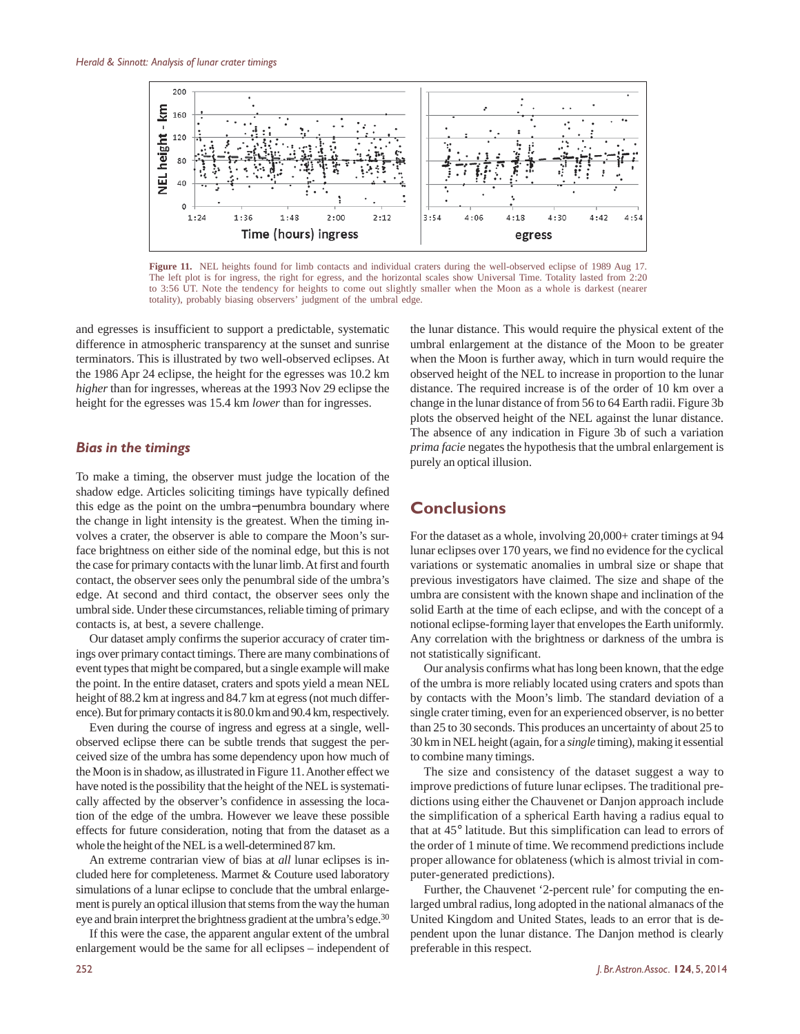

**Figure 11.** NEL heights found for limb contacts and individual craters during the well-observed eclipse of 1989 Aug 17. The left plot is for ingress, the right for egress, and the horizontal scales show Universal Time. Totality lasted from 2:20 to 3:56 UT. Note the tendency for heights to come out slightly smaller when the Moon as a whole is darkest (nearer totality), probably biasing observers' judgment of the umbral edge.

and egresses is insufficient to support a predictable, systematic difference in atmospheric transparency at the sunset and sunrise terminators. This is illustrated by two well-observed eclipses. At the 1986 Apr 24 eclipse, the height for the egresses was 10.2 km *higher* than for ingresses, whereas at the 1993 Nov 29 eclipse the height for the egresses was 15.4 km *lower* than for ingresses.

#### *Bias in the timings*

To make a timing, the observer must judge the location of the shadow edge. Articles soliciting timings have typically defined this edge as the point on the umbra−penumbra boundary where the change in light intensity is the greatest. When the timing involves a crater, the observer is able to compare the Moon's surface brightness on either side of the nominal edge, but this is not the case for primary contacts with the lunar limb. At first and fourth contact, the observer sees only the penumbral side of the umbra's edge. At second and third contact, the observer sees only the umbral side. Under these circumstances, reliable timing of primary contacts is, at best, a severe challenge.

Our dataset amply confirms the superior accuracy of crater timings over primary contact timings. There are many combinations of event types that might be compared, but a single example will make the point. In the entire dataset, craters and spots yield a mean NEL height of 88.2 km at ingress and 84.7 km at egress (not much difference). But for primary contacts it is 80.0 km and 90.4 km, respectively.

Even during the course of ingress and egress at a single, wellobserved eclipse there can be subtle trends that suggest the perceived size of the umbra has some dependency upon how much of the Moon is in shadow, as illustrated in Figure 11. Another effect we have noted is the possibility that the height of the NEL is systematically affected by the observer's confidence in assessing the location of the edge of the umbra. However we leave these possible effects for future consideration, noting that from the dataset as a whole the height of the NEL is a well-determined 87 km.

An extreme contrarian view of bias at *all* lunar eclipses is included here for completeness. Marmet & Couture used laboratory simulations of a lunar eclipse to conclude that the umbral enlargement is purely an optical illusion that stems from the way the human eye and brain interpret the brightness gradient at the umbra's edge.30

If this were the case, the apparent angular extent of the umbral enlargement would be the same for all eclipses – independent of the lunar distance. This would require the physical extent of the umbral enlargement at the distance of the Moon to be greater when the Moon is further away, which in turn would require the observed height of the NEL to increase in proportion to the lunar distance. The required increase is of the order of 10 km over a change in the lunar distance of from 56 to 64 Earth radii. Figure 3b plots the observed height of the NEL against the lunar distance. The absence of any indication in Figure 3b of such a variation *prima facie* negates the hypothesis that the umbral enlargement is purely an optical illusion.

## **Conclusions**

For the dataset as a whole, involving 20,000+ crater timings at 94 lunar eclipses over 170 years, we find no evidence for the cyclical variations or systematic anomalies in umbral size or shape that previous investigators have claimed. The size and shape of the umbra are consistent with the known shape and inclination of the solid Earth at the time of each eclipse, and with the concept of a notional eclipse-forming layer that envelopes the Earth uniformly. Any correlation with the brightness or darkness of the umbra is not statistically significant.

Our analysis confirms what has long been known, that the edge of the umbra is more reliably located using craters and spots than by contacts with the Moon's limb. The standard deviation of a single crater timing, even for an experienced observer, is no better than 25 to 30 seconds. This produces an uncertainty of about 25 to 30 km in NEL height (again, for a *single* timing), making it essential to combine many timings.

The size and consistency of the dataset suggest a way to improve predictions of future lunar eclipses. The traditional predictions using either the Chauvenet or Danjon approach include the simplification of a spherical Earth having a radius equal to that at 45° latitude. But this simplification can lead to errors of the order of 1 minute of time. We recommend predictions include proper allowance for oblateness (which is almost trivial in computer-generated predictions).

Further, the Chauvenet '2-percent rule' for computing the enlarged umbral radius, long adopted in the national almanacs of the United Kingdom and United States, leads to an error that is dependent upon the lunar distance. The Danjon method is clearly preferable in this respect.